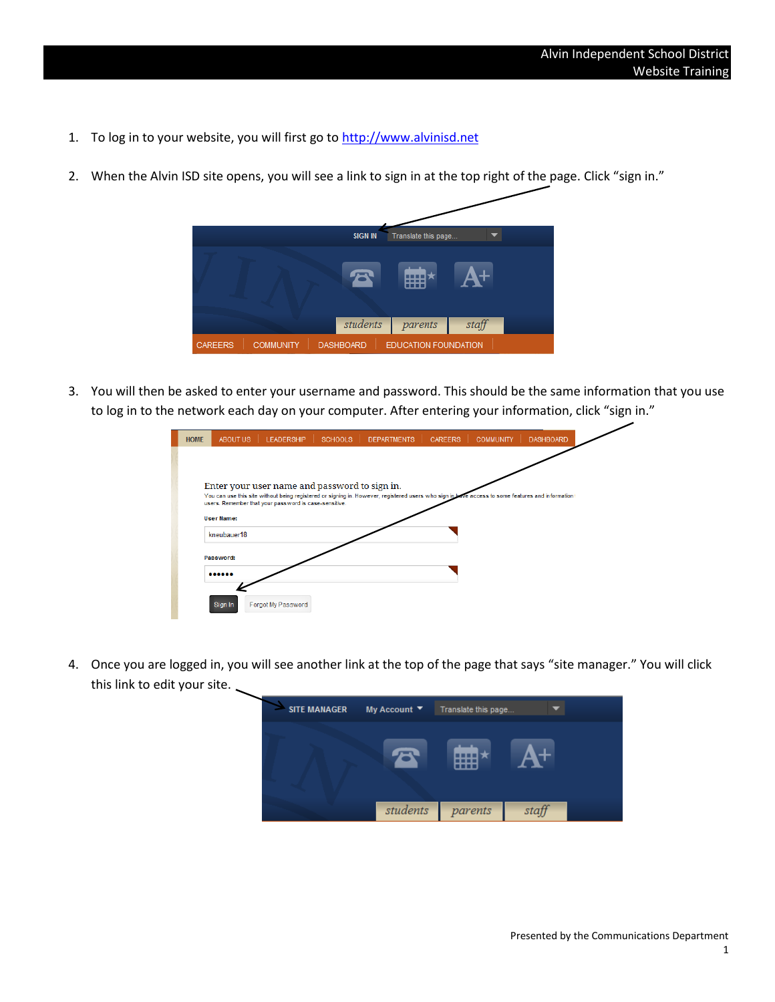- 1. To log in to your website, you will first go to [http://www.alvinisd.net](http://www.alvinisd.net/)
- 2. When the Alvin ISD site opens, you will see a link to sign in at the top right of the page. Click "sign in."



3. You will then be asked to enter your username and password. This should be the same information that you use to log in to the network each day on your computer. After entering your information, click "sign in."

| <b>HOME</b> | ABOUT US          | <b>LEADERSHIP</b>                                     | <b>SCHOOLS</b> | <b>DEPARTMENTS</b>                                                                                                                                 | <b>CAREERS</b> | <b>COMMUNITY</b> | <b>DASHBOARD</b> |
|-------------|-------------------|-------------------------------------------------------|----------------|----------------------------------------------------------------------------------------------------------------------------------------------------|----------------|------------------|------------------|
|             |                   |                                                       |                |                                                                                                                                                    |                |                  |                  |
|             |                   |                                                       |                |                                                                                                                                                    |                |                  |                  |
|             |                   | Enter your user name and password to sign in.         |                |                                                                                                                                                    |                |                  |                  |
|             |                   | users. Remember that your password is case-sensitive. |                | You can use this site without being registered or signing in. However, registered users who sign in bave access to some features and information t |                |                  |                  |
|             | <b>User Name:</b> |                                                       |                |                                                                                                                                                    |                |                  |                  |
|             | kneubauer18       |                                                       |                |                                                                                                                                                    |                |                  |                  |
|             |                   |                                                       |                |                                                                                                                                                    |                |                  |                  |
|             | Password:         |                                                       |                |                                                                                                                                                    |                |                  |                  |
|             |                   |                                                       |                |                                                                                                                                                    |                |                  |                  |
|             |                   |                                                       |                |                                                                                                                                                    |                |                  |                  |
|             | Sign In           | Forgot My Password                                    |                |                                                                                                                                                    |                |                  |                  |
|             |                   |                                                       |                |                                                                                                                                                    |                |                  |                  |

4. Once you are logged in, you will see another link at the top of the page that says "site manager." You will click this link to edit your site.

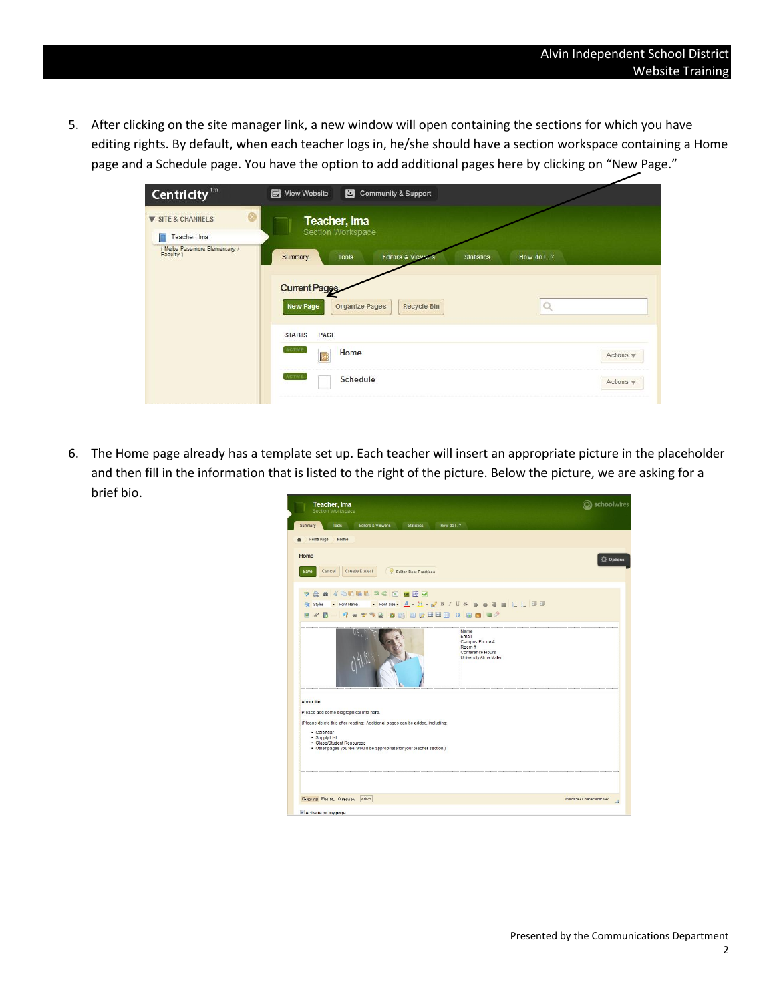5. After clicking on the site manager link, a new window will open containing the sections for which you have editing rights. By default, when each teacher logs in, he/she should have a section workspace containing a Home page and a Schedule page. You have the option to add additional pages here by clicking on "New Page."

| Centricity <sup>tm</sup>                          | View Website<br>Community & Support                                                         |                |
|---------------------------------------------------|---------------------------------------------------------------------------------------------|----------------|
| <b>V SITE &amp; CHANNELS</b><br>Teacher, Ima<br>m | Teacher, Ima<br>Section Workspace                                                           |                |
| (Melba Passmore Elementary /<br>Faculty )         | <b>Editors &amp; Views</b><br><b>Statistics</b><br>How do I?<br>Summary<br><b>Tools</b>     |                |
|                                                   | <b>Current Pages</b><br>$\Omega$<br><b>Organize Pages</b><br>Recycle Bin<br><b>New Page</b> |                |
|                                                   | <b>STATUS</b><br>PAGE                                                                       |                |
|                                                   | ACTIVE,<br>Home<br>$\boxed{\odot}$                                                          | Actions $\Psi$ |
|                                                   | <b>ACTIVE</b><br>Schedule                                                                   | Actions w      |

6. The Home page already has a template set up. Each teacher will insert an appropriate picture in the placeholder and then fill in the information that is listed to the right of the picture. Below the picture, we are asking for a brief bio.

| Teacher, Ima<br>Section Workspace                                                                                                                                                                                                                                                | <b>a</b> schoolwire                                                                   |
|----------------------------------------------------------------------------------------------------------------------------------------------------------------------------------------------------------------------------------------------------------------------------------|---------------------------------------------------------------------------------------|
| Summary<br>Editors & Viewers<br><b>Tools</b><br><b>Statistics</b><br>How do L.?                                                                                                                                                                                                  |                                                                                       |
| Home Page<br>Home                                                                                                                                                                                                                                                                |                                                                                       |
| Home<br>Create E-Alert<br>Editor Best Practices<br>Cancel<br>Save                                                                                                                                                                                                                | <b>C</b> F Options                                                                    |
| $A \bullet B \bullet B \bullet B \bullet B \bullet B \bullet B \bullet B$<br>$\mathfrak{S}$<br>· Font Size · 五·温· 《BIUS 言言言言言 三三甲甲<br>Font Name                                                                                                                                  |                                                                                       |
|                                                                                                                                                                                                                                                                                  | Name<br>Email<br>Campus Phone #<br>Room#<br>Conference Hours<br>University Alma Mater |
| <b>About Me</b><br>Please add some biographical info here.<br>(Please delete this after reading: Additional pages can be added, including:<br>· Calendar<br>· Supply List<br>· Class/Student Resources<br>· Other pages you feel would be appropriate for your teacher section.) |                                                                                       |
| <b>GNormal EHTML OPreview</b><br>$ <$ div $>$                                                                                                                                                                                                                                    | Words: 47 Characters: 347                                                             |
| Activate on my page                                                                                                                                                                                                                                                              |                                                                                       |